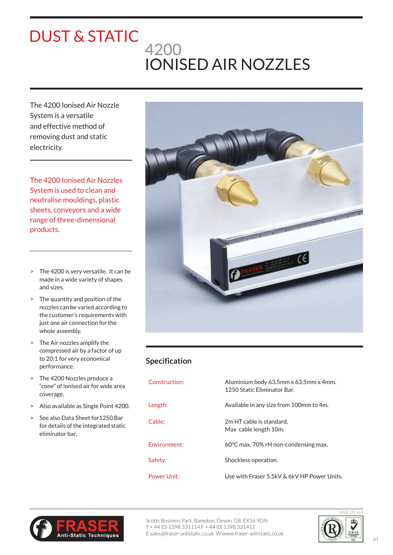## 4200 IONISED AIR NOZZLES DUST & STATIC

The 4200 Ionised Air Nozzle System is a versatile and effective method of removing dust and static electricity.

The 4200 Ionised Air Nozzles System is used to clean and neutralise mouldings, plastic sheets, conveyors and a wide range of three-dimensional products.

- > The 4200 is very versatile. It can be made in a wide variety of shapes and sizes.
- > The quantity and position of the nozzles can be varied according to the customer's requirements with just one air connection for the whole assembly.
- > The Air nozzles amplify the compressed air by a factor of up to 20:1 for very economical performance.
- > The 4200 Nozzles produce a "cone" of ionised air for wide area coverage.
- > Also available as Single Point 4200.
- > See also Data Sheet for1250 Bar for details of the integrated static eliminator bar.



## **Specification**

| Construction: | Aluminium body 63.5mm x 63.5mm x 4mm.<br>1250 Static Eliminator Bar. |
|---------------|----------------------------------------------------------------------|
| Length:       | Available in any size from 100mm to 4m.                              |
| Cable:        | 2m HT cable is standard.<br>Max cable length 10m.                    |
| Fnvironment:  | 60 $\degree$ C max. 70% rH non-condensing max.                       |
| Safety:       | Shockless operation.                                                 |
| Power Unit:   | Use with Fraser 5.5kV & 6kV HP Power Units.                          |